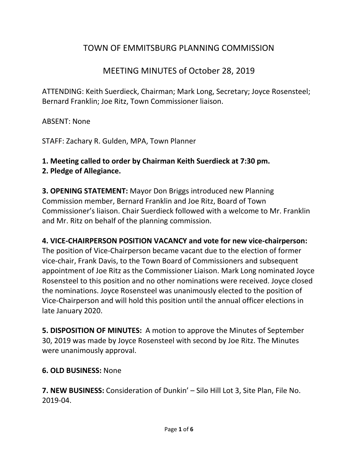# TOWN OF EMMITSBURG PLANNING COMMISSION

## MEETING MINUTES of October 28, 2019

ATTENDING: Keith Suerdieck, Chairman; Mark Long, Secretary; Joyce Rosensteel; Bernard Franklin; Joe Ritz, Town Commissioner liaison.

ABSENT: None

STAFF: Zachary R. Gulden, MPA, Town Planner

# **1. Meeting called to order by Chairman Keith Suerdieck at 7:30 pm.**

## **2. Pledge of Allegiance.**

**3. OPENING STATEMENT:** Mayor Don Briggs introduced new Planning Commission member, Bernard Franklin and Joe Ritz, Board of Town Commissioner's liaison. Chair Suerdieck followed with a welcome to Mr. Franklin and Mr. Ritz on behalf of the planning commission.

## **4. VICE-CHAIRPERSON POSITION VACANCY and vote for new vice-chairperson:**

The position of Vice-Chairperson became vacant due to the election of former vice-chair, Frank Davis, to the Town Board of Commissioners and subsequent appointment of Joe Ritz as the Commissioner Liaison. Mark Long nominated Joyce Rosensteel to this position and no other nominations were received. Joyce closed the nominations. Joyce Rosensteel was unanimously elected to the position of Vice-Chairperson and will hold this position until the annual officer elections in late January 2020.

**5. DISPOSITION OF MINUTES:** A motion to approve the Minutes of September 30, 2019 was made by Joyce Rosensteel with second by Joe Ritz. The Minutes were unanimously approval.

## **6. OLD BUSINESS:** None

**7. NEW BUSINESS:** Consideration of Dunkin' – Silo Hill Lot 3, Site Plan, File No. 2019-04.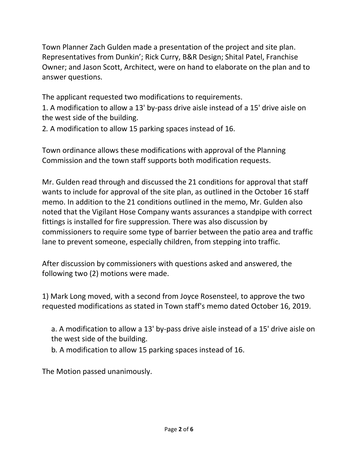Town Planner Zach Gulden made a presentation of the project and site plan. Representatives from Dunkin'; Rick Curry, B&R Design; Shital Patel, Franchise Owner; and Jason Scott, Architect, were on hand to elaborate on the plan and to answer questions.

The applicant requested two modifications to requirements.

1. A modification to allow a 13' by-pass drive aisle instead of a 15' drive aisle on the west side of the building.

2*.* A modification to allow 15 parking spaces instead of 16.

Town ordinance allows these modifications with approval of the Planning Commission and the town staff supports both modification requests.

Mr. Gulden read through and discussed the 21 conditions for approval that staff wants to include for approval of the site plan, as outlined in the October 16 staff memo. In addition to the 21 conditions outlined in the memo, Mr. Gulden also noted that the Vigilant Hose Company wants assurances a standpipe with correct fittings is installed for fire suppression. There was also discussion by commissioners to require some type of barrier between the patio area and traffic lane to prevent someone, especially children, from stepping into traffic.

After discussion by commissioners with questions asked and answered, the following two (2) motions were made.

1) Mark Long moved, with a second from Joyce Rosensteel, to approve the two requested modifications as stated in Town staff's memo dated October 16, 2019.

a. A modification to allow a 13' by-pass drive aisle instead of a 15' drive aisle on the west side of the building.

b*.* A modification to allow 15 parking spaces instead of 16.

The Motion passed unanimously.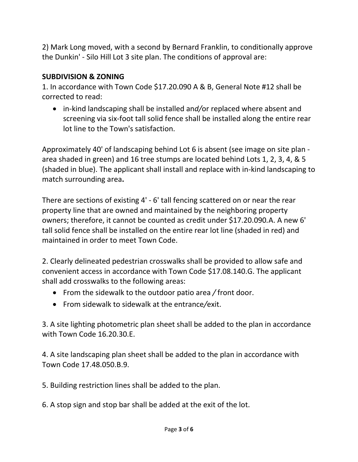2) Mark Long moved, with a second by Bernard Franklin, to conditionally approve the Dunkin' - Silo Hill Lot 3 site plan. The conditions of approval are:

## **SUBDIVISION & ZONING**

1. In accordance with Town Code \$17.20.090 A & B, General Note #12 shall be corrected to read:

 in-kind landscaping shall be installed an*d/*or replaced where absent and screening via six-foot tall solid fence shall be installed along the entire rear lot line to the Town's satisfaction.

Approximately 40' of landscaping behind Lot 6 is absent (see image on site plan area shaded in green) and 16 tree stumps are located behind Lots 1, 2, 3, 4, & 5 (shaded in blue). The applicant shall install and replace with in-kind landscaping to match surrounding area**.**

There are sections of existing 4' - 6' tall fencing scattered on or near the rear property line that are owned and maintained by the neighboring property owners; therefore, it cannot be counted as credit under \$17.20.090*.*A. A new 6' tall solid fence shall be installed on the entire rear lot line (shaded in red) and maintained in order to meet Town Code.

2. Clearly delineated pedestrian crosswalks shall be provided to allow safe and convenient access in accordance with Town Code \$17.08.140.G. The applicant shall add crosswalks to the following areas:

- From the sidewalk to the outdoor patio area */* front door.
- From sidewalk to sidewalk at the entrance*/*exit.

3. A site lighting photometric plan sheet shall be added to the plan in accordance with Town Code 16.20.30.E.

4. A site landscaping plan sheet shall be added to the plan in accordance with Town Code 17.48.050.B.9.

5. Building restriction lines shall be added to the plan.

6. A stop sign and stop bar shall be added at the exit of the lot.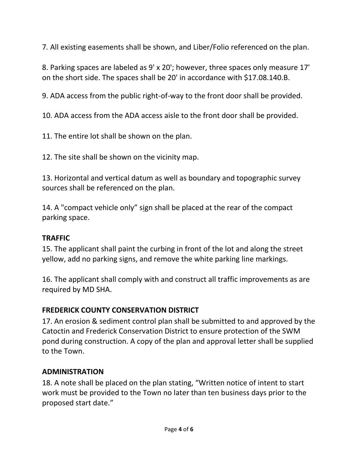7*.* All existing easements shall be shown, and Liber/Folio referenced on the plan.

8. Parking spaces are labeled as 9' x 20'; however, three spaces only measure 17' on the short side. The spaces shall be 20' in accordance with \$17.08.140.B.

9. ADA access from the public right-of-way to the front door shall be provided.

10. ADA access from the ADA access aisle to the front door shall be provided.

11. The entire lot shall be shown on the plan.

12. The site shall be shown on the vicinity map.

13. Horizontal and vertical datum as well as boundary and topographic survey sources shall be referenced on the plan.

14. A "compact vehicle only" sign shall be placed at the rear of the compact parking space.

## **TRAFFIC**

15. The applicant shall paint the curbing in front of the lot and along the street yellow, add no parking signs, and remove the white parking line markings.

16. The applicant shall comply with and construct all traffic improvements as are required by MD SHA.

## **FREDERICK COUNTY CONSERVATION DISTRICT**

17. An erosion & sediment control plan shall be submitted to and approved by the Catoctin and Frederick Conservation District to ensure protection of the SWM pond during construction. A copy of the plan and approval letter shall be supplied to the Town.

## **ADMINISTRATION**

18. A note shall be placed on the plan stating, "Written notice of intent to start work must be provided to the Town no later than ten business days prior to the proposed start date."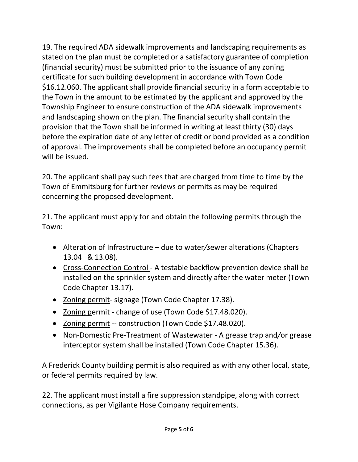19. The required ADA sidewalk improvements and landscaping requirements as stated on the plan must be completed or a satisfactory guarantee of completion (financial security) must be submitted prior to the issuance of any zoning certificate for such building development in accordance with Town Code \$16.12.060. The applicant shall provide financial security in a form acceptable to the Town in the amount to be estimated by the applicant and approved by the Township Engineer to ensure construction of the ADA sidewalk improvements and landscaping shown on the plan. The financial security shall contain the provision that the Town shall be informed in writing at least thirty (30) days before the expiration date of any letter of credit or bond provided as a condition of approval. The improvements shall be completed before an occupancy permit will be issued.

20. The applicant shall pay such fees that are charged from time to time by the Town of Emmitsburg for further reviews or permits as may be required concerning the proposed development.

21. The applicant must apply for and obtain the following permits through the Town:

- Alteration of Infrastructure due to water*/s*ewer alterations (Chapters 13.04 & 13.08).
- Cross-Connection Control A testable backflow prevention device shall be installed on the sprinkler system and directly after the water meter (Town Code Chapter 13.17).
- Zoning permit- signage (Town Code Chapter 17.38).
- Zoning permit change of use (Town Code \$17.48.020).
- Zoning permit -- construction (Town Code \$17.48.020).
- Non-Domestic Pre-Treatment of Wastewater A grease trap and*/*or grease interceptor system shall be installed (Town Code Chapter 15.36).

A Frederick County building permit is also required as with any other local, state, or federal permits required by law.

22. The applicant must install a fire suppression standpipe, along with correct connections, as per Vigilante Hose Company requirements.